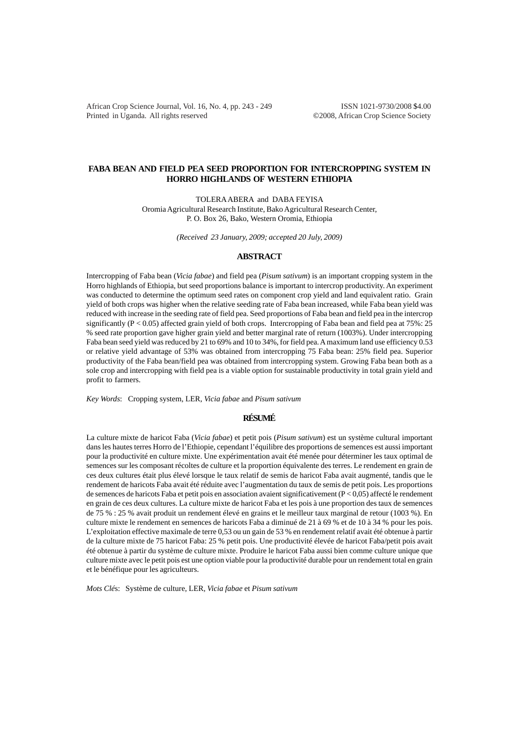African Crop Science Journal, Vol. 16, No. 4, pp. 243 - 249 ISSN 1021-9730/2008 \$4.00 Printed in Uganda. All rights reserved ©2008, African Crop Science Society

## **FABA BEAN AND FIELD PEA SEED PROPORTION FOR INTERCROPPING SYSTEM IN HORRO HIGHLANDS OF WESTERN ETHIOPIA**

TOLERA ABERA and DABA FEYISA

Oromia Agricultural Research Institute, Bako Agricultural Research Center, P. O. Box 26, Bako, Western Oromia, Ethiopia

*(Received 23 January, 2009; accepted 20 July, 2009)*

### **ABSTRACT**

Intercropping of Faba bean (*Vicia fabae*) and field pea (*Pisum sativum*) is an important cropping system in the Horro highlands of Ethiopia, but seed proportions balance is important to intercrop productivity. An experiment was conducted to determine the optimum seed rates on component crop yield and land equivalent ratio. Grain yield of both crops was higher when the relative seeding rate of Faba bean increased, while Faba bean yield was reduced with increase in the seeding rate of field pea. Seed proportions of Faba bean and field pea in the intercrop significantly ( $P < 0.05$ ) affected grain yield of both crops. Intercropping of Faba bean and field pea at 75%: 25 % seed rate proportion gave higher grain yield and better marginal rate of return (1003%). Under intercropping Faba bean seed yield was reduced by 21 to 69% and 10 to 34%, for field pea. A maximum land use efficiency 0.53 or relative yield advantage of 53% was obtained from intercropping 75 Faba bean: 25% field pea. Superior productivity of the Faba bean/field pea was obtained from intercropping system. Growing Faba bean both as a sole crop and intercropping with field pea is a viable option for sustainable productivity in total grain yield and profit to farmers.

*Key Words*: Cropping system, LER, *Vicia fabae* and *Pisum sativum*

# **RÉSUMÉ**

La culture mixte de haricot Faba (*Vicia fabae*) et petit pois (*Pisum sativum*) est un système cultural important dans les hautes terres Horro de l'Ethiopie, cependant l'équilibre des proportions de semences est aussi important pour la productivité en culture mixte. Une expérimentation avait été menée pour déterminer les taux optimal de semences sur les composant récoltes de culture et la proportion équivalente des terres. Le rendement en grain de ces deux cultures était plus élevé lorsque le taux relatif de semis de haricot Faba avait augmenté, tandis que le rendement de haricots Faba avait été réduite avec l'augmentation du taux de semis de petit pois. Les proportions de semences de haricots Faba et petit pois en association avaient significativement (P < 0,05) affecté le rendement en grain de ces deux cultures. La culture mixte de haricot Faba et les pois à une proportion des taux de semences de 75 % : 25 % avait produit un rendement élevé en grains et le meilleur taux marginal de retour (1003 %). En culture mixte le rendement en semences de haricots Faba a diminué de 21 à 69 % et de 10 à 34 % pour les pois. L'exploitation effective maximale de terre 0,53 ou un gain de 53 % en rendement relatif avait été obtenue à partir de la culture mixte de 75 haricot Faba: 25 % petit pois. Une productivité élevée de haricot Faba/petit pois avait été obtenue à partir du système de culture mixte. Produire le haricot Faba aussi bien comme culture unique que culture mixte avec le petit pois est une option viable pour la productivité durable pour un rendement total en grain et le bénéfique pour les agriculteurs.

*Mots Clé*s: Système de culture, LER, *Vicia fabae* et *Pisum sativum*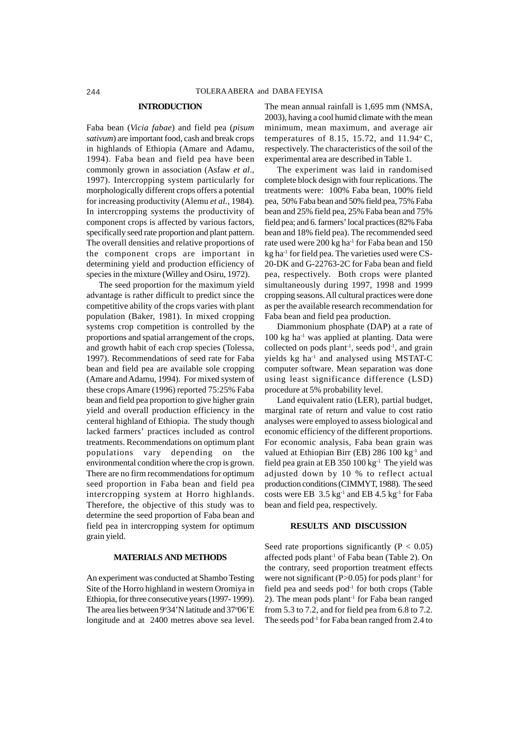#### **INTRODUCTION**

Faba bean (*Vicia fabae*) and field pea (*pisum sativum*) are important food, cash and break crops in highlands of Ethiopia (Amare and Adamu, 1994). Faba bean and field pea have been commonly grown in association (Asfaw *et al*., 1997). Intercropping system particularly for morphologically different crops offers a potential for increasing productivity (Alemu *et al.,* 1984). In intercropping systems the productivity of component crops is affected by various factors, specifically seed rate proportion and plant pattern. The overall densities and relative proportions of the component crops are important in determining yield and production efficiency of species in the mixture (Willey and Osiru, 1972).

The seed proportion for the maximum yield advantage is rather difficult to predict since the competitive ability of the crops varies with plant population (Baker, 1981). In mixed cropping systems crop competition is controlled by the proportions and spatial arrangement of the crops, and growth habit of each crop species (Tolessa, 1997). Recommendations of seed rate for Faba bean and field pea are available sole cropping (Amare and Adamu, 1994). For mixed system of these crops Amare (1996) reported 75:25% Faba bean and field pea proportion to give higher grain yield and overall production efficiency in the centeral highland of Ethiopia. The study though lacked farmers' practices included as control treatments. Recommendations on optimum plant populations vary depending on the environmental condition where the crop is grown. There are no firm recommendations for optimum seed proportion in Faba bean and field pea intercropping system at Horro highlands. Therefore, the objective of this study was to determine the seed proportion of Faba bean and field pea in intercropping system for optimum grain yield.

## **MATERIALS AND METHODS**

An experiment was conducted at Shambo Testing Site of the Horro highland in western Oromiya in Ethiopia, for three consecutive years (1997- 1999). The area lies between 9°34'N latitude and 37°06'E longitude and at 2400 metres above sea level.

The mean annual rainfall is 1,695 mm (NMSA, 2003), having a cool humid climate with the mean minimum, mean maximum, and average air temperatures of 8.15, 15.72, and  $11.94^{\circ}$  C, respectively. The characteristics of the soil of the experimental area are described in Table 1.

The experiment was laid in randomised complete block design with four replications. The treatments were: 100% Faba bean, 100% field pea, 50% Faba bean and 50% field pea, 75% Faba bean and 25% field pea, 25% Faba bean and 75% field pea; and 6. farmers' local practices (82% Faba bean and 18% field pea). The recommended seed rate used were 200 kg ha<sup>-1</sup> for Faba bean and 150 kg ha $^{-1}$  for field pea. The varieties used were CS-20-DK and G-22763-2C for Faba bean and field pea, respectively. Both crops were planted simultaneously during 1997, 1998 and 1999 cropping seasons. All cultural practices were done as per the available research recommendation for Faba bean and field pea production.

Diammonium phosphate (DAP) at a rate of  $100 \text{ kg}$  ha<sup>-1</sup> was applied at planting. Data were collected on pods plant<sup>1</sup>, seeds pod<sup>1</sup>, and grain yields kg ha-1 and analysed using MSTAT-C computer software. Mean separation was done using least significance difference (LSD) procedure at 5% probability level.

Land equivalent ratio (LER), partial budget, marginal rate of return and value to cost ratio analyses were employed to assess biological and economic efficiency of the different proportions. For economic analysis, Faba bean grain was valued at Ethiopian Birr (EB) 286 100 kg<sup>-1</sup> and field pea grain at EB 350  $100 \text{ kg}^{-1}$  The yield was adjusted down by 10 % to reflect actual production conditions (CIMMYT, 1988). The seed costs were EB  $3.5 \text{ kg}^{-1}$  and EB 4.5 kg<sup>-1</sup> for Faba bean and field pea, respectively.

## **RESULTS AND DISCUSSION**

Seed rate proportions significantly ( $P < 0.05$ ) affected pods plant-1 of Faba bean (Table 2). On the contrary, seed proportion treatment effects were not significant (P $>0.05$ ) for pods plant<sup>-1</sup> for field pea and seeds  $pod^{-1}$  for both crops (Table 2). The mean pods plant<sup>1</sup> for Faba bean ranged from 5.3 to 7.2, and for field pea from 6.8 to 7.2. The seeds pod<sup>-1</sup> for Faba bean ranged from 2.4 to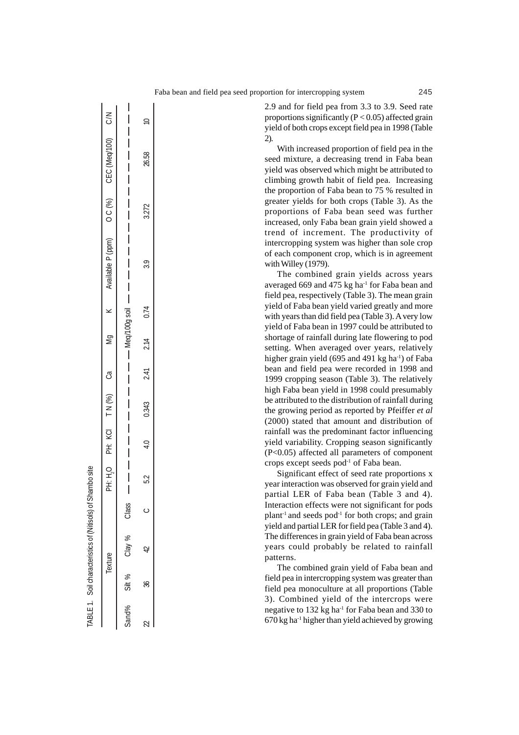C/N N/O (00L/bay) J3D (%) O (Ludg d gramle N Y 6W e') (%) N L Oi Hd O Fi Hd ) - a ann Kall  $\overline{\phantom{a}}$  $\supseteq$  $22$   $23$   $36.58$   $42$   $2.14$   $2.14$   $2.14$   $2.14$   $2.14$   $2.14$   $2.14$   $2.14$   $2.14$   $2.14$   $2.14$   $2.14$   $2.14$   $2.14$   $2.14$   $2.14$   $2.14$   $2.14$   $2.14$   $2.14$   $2.14$   $2.14$   $2.14$   $2.14$   $2.14$   $2.14$   $2.14$   $2.14$   $2$  $\overline{\phantom{a}}$ CEC (Meg/100)  $\overline{\phantom{a}}$  $\overline{\phantom{a}}$ 26.58 I  $\mathcal{E}$  $\overline{\phantom{a}}$ 3.272  $\overline{C}$  $\overline{\phantom{a}}$  $\overline{\phantom{a}}$ Available P (ppm)  $\overline{\phantom{a}}$  $\overline{\phantom{a}}$  $\overline{3.9}$  $\overline{\phantom{a}}$  $\overline{\phantom{a}}$  $\begin{array}{c} \hline \end{array}$  $0.74$ -Meq/100g soil  $\overline{\mathbf{y}}$ Sand% Silt % Clay % Class Meq/100g soil  $\overline{S}$  $2.14$  $\bigg\}$ 2.41 ී  $\overline{\phantom{a}}$  $\overline{\phantom{a}}$  $(%)$  $\overline{\phantom{a}}$ 0.343  $\overline{z}$  $\overline{\phantom{a}}$ **Q**  $\overline{\phantom{a}}$  $\overline{a}$  $\ddot{\pi}$  $\overline{\phantom{a}}$  $\overline{\phantom{a}}$  $C$  $\overline{\phantom{a}}$ 52 主  $\overline{\phantom{a}}$ Class  $\circ$  $\aleph$ Clay  $\overline{Q}$ Texture  $\aleph$ **Silt** æ Sand%  $\sim$ 

TABLE 1. Soil characteristics of (Nitisols) of Shambo site

**FABLE1.** 

Soil characteristics of (Nitisols) of Shambo site

2.9 and for field pea from 3.3 to 3.9. Seed rate proportions significantly  $(P < 0.05)$  affected grain yield of both crops except field pea in 1998 (Table 2).

With increased proportion of field pea in the seed mixture, a decreasing trend in Faba bean yield was observed which might be attributed to climbing growth habit of field pea. Increasing the proportion of Faba bean to 75 % resulted in greater yields for both crops (Table 3). As the proportions of Faba bean seed was further increased, only Faba bean grain yield showed a trend of increment. The productivity of intercropping system was higher than sole crop of each component crop, which is in agreement with Willey (1979).

The combined grain yields across years averaged 669 and 475 kg ha<sup>-1</sup> for Faba bean and field pea, respectively (Table 3). The mean grain yield of Faba bean yield varied greatly and more with years than did field pea (Table 3). A very low yield of Faba bean in 1997 could be attributed to shortage of rainfall during late flowering to pod setting. When averaged over years, relatively higher grain yield (695 and 491 kg ha<sup>-1</sup>) of Faba bean and field pea were recorded in 1998 and 1999 cropping season (Table 3). The relatively high Faba bean yield in 1998 could presumably be attributed to the distribution of rainfall during the growing period as reported by Pfeiffer *et al* (2000) stated that amount and distribution of rainfall was the predominant factor influencing yield variability. Cropping season significantly (P<0.05) affected all parameters of component crops except seeds pod-1 of Faba bean.

Significant effect of seed rate proportions x year interaction was observed for grain yield and partial LER of Faba bean (Table 3 and 4). Interaction effects were not significant for pods plant<sup>-1</sup> and seeds pod<sup>-1</sup> for both crops; and grain yield and partial LER for field pea (Table 3 and 4). The differences in grain yield of Faba bean across years could probably be related to rainfall patterns.

The combined grain yield of Faba bean and field pea in intercropping system was greater than field pea monoculture at all proportions (Table 3). Combined yield of the intercrops were negative to 132 kg ha<sup>-1</sup> for Faba bean and 330 to  $670$  kg ha<sup>-1</sup> higher than yield achieved by growing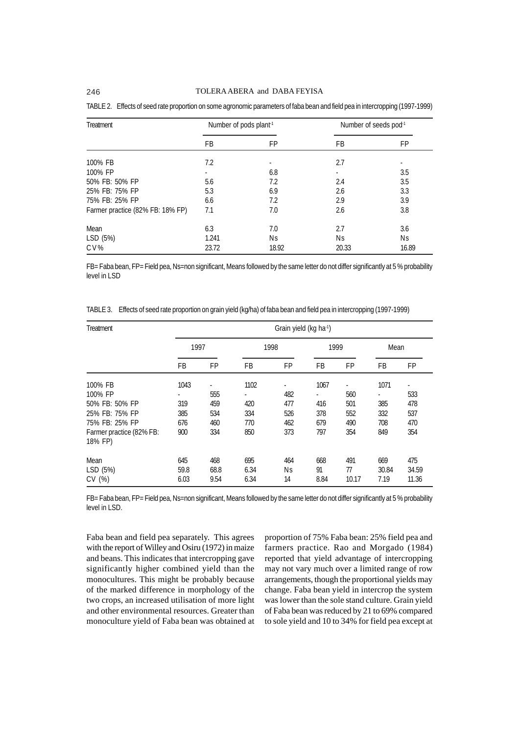| Treatment                        | Number of pods plant-1 |       | Number of seeds pod <sup>-1</sup> |       |  |
|----------------------------------|------------------------|-------|-----------------------------------|-------|--|
|                                  | FB                     | FP    | FB.                               | FP    |  |
| 100% FB                          | 7.2                    |       | 2.7                               |       |  |
| 100% FP                          |                        | 6.8   |                                   | 3.5   |  |
| 50% FB: 50% FP                   | 5.6                    | 7.2   | 2.4                               | 3.5   |  |
| 25% FB: 75% FP                   | 5.3                    | 6.9   | 2.6                               | 3.3   |  |
| 75% FB: 25% FP                   | 6.6                    | 7.2   | 2.9                               | 3.9   |  |
| Farmer practice (82% FB: 18% FP) | 7.1                    | 7.0   | 2.6                               | 3.8   |  |
| Mean                             | 6.3                    | 7.0   | 2.7                               | 3.6   |  |
| LSD (5%)                         | 1.241                  | Ns    | Ns                                | Νs    |  |
| CV%                              | 23.72                  | 18.92 | 20.33                             | 16.89 |  |

TABLE 2. Effects of seed rate proportion on some agronomic parameters of faba bean and field pea in intercropping (1997-1999)

FB= Faba bean, FP= Field pea, Ns=non significant, Means followed by the same letter do not differ significantly at 5 % probability level in LSD

TABLE 3. Effects of seed rate proportion on grain yield (kg/ha) of faba bean and field pea in intercropping (1997-1999)

| Treatment                           |              | Grain yield (kg ha <sup>-1</sup> ) |              |          |            |             |               |                |  |  |
|-------------------------------------|--------------|------------------------------------|--------------|----------|------------|-------------|---------------|----------------|--|--|
|                                     | 1997         |                                    |              | 1998     | 1999       |             | Mean          |                |  |  |
|                                     | FB           | FP                                 | FB           | FP       | FB         | FP          | FB            | <b>FP</b>      |  |  |
| 100% FB                             | 1043         |                                    | 1102         |          | 1067       |             | 1071          |                |  |  |
| 100% FP                             |              | 555                                | ٠            | 482      | ٠          | 560         |               | 533            |  |  |
| 50% FB: 50% FP                      | 319          | 459                                | 420          | 477      | 416        | 501         | 385           | 478            |  |  |
| 25% FB: 75% FP                      | 385          | 534                                | 334          | 526      | 378        | 552         | 332           | 537            |  |  |
| 75% FB: 25% FP                      | 676          | 460                                | 770          | 462      | 679        | 490         | 708           | 470            |  |  |
| Farmer practice (82% FB:<br>18% FP) | 900          | 334                                | 850          | 373      | 797        | 354         | 849           | 354            |  |  |
| Mean                                | 645          | 468                                | 695          | 464      | 668        | 491         | 669           | 475            |  |  |
| LSD (5%)<br>CV(%)                   | 59.8<br>6.03 | 68.8<br>9.54                       | 6.34<br>6.34 | Νs<br>14 | 91<br>8.84 | 77<br>10.17 | 30.84<br>7.19 | 34.59<br>11.36 |  |  |

FB= Faba bean, FP= Field pea, Ns=non significant, Means followed by the same letter do not differ significantly at 5 % probability level in LSD.

Faba bean and field pea separately. This agrees with the report of Willey and Osiru (1972) in maize and beans. This indicates that intercropping gave significantly higher combined yield than the monocultures. This might be probably because of the marked difference in morphology of the two crops, an increased utilisation of more light and other environmental resources. Greater than monoculture yield of Faba bean was obtained at proportion of 75% Faba bean: 25% field pea and farmers practice. Rao and Morgado (1984) reported that yield advantage of intercropping may not vary much over a limited range of row arrangements, though the proportional yields may change. Faba bean yield in intercrop the system was lower than the sole stand culture. Grain yield of Faba bean was reduced by 21 to 69% compared to sole yield and 10 to 34% for field pea except at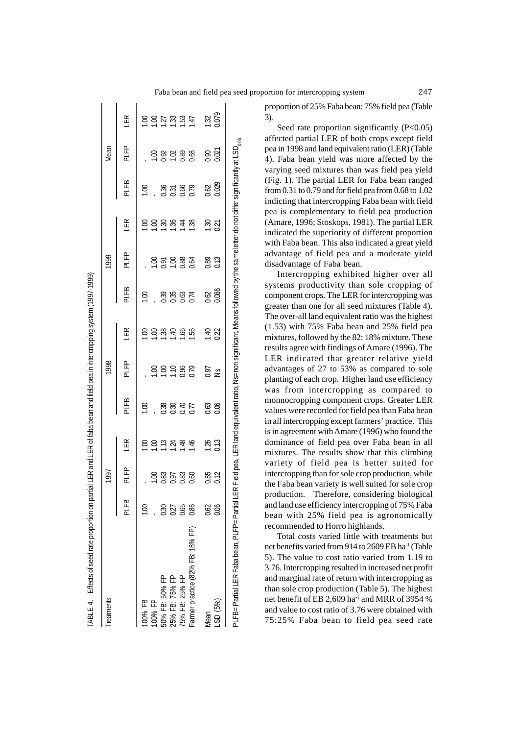| Treatments                                  |      | 1997                |                 |                                                                                                                                                   | 1998          |                  |               | 1999           |                  |                         | Mean                 |                  |
|---------------------------------------------|------|---------------------|-----------------|---------------------------------------------------------------------------------------------------------------------------------------------------|---------------|------------------|---------------|----------------|------------------|-------------------------|----------------------|------------------|
|                                             | PLFB | PLFP                | ER              | PLFB                                                                                                                                              | PLFP          | ER               | PLFB          | PLFP           | E                | PLFB                    | PLFP                 | ER               |
| 00% FB                                      |      |                     | $\mathbf{S}$    | $\overline{0}$                                                                                                                                    |               |                  | $\frac{8}{1}$ |                | S                | $\overline{\mathrm{S}}$ |                      |                  |
| 00% FP                                      |      | 00.                 | $\overline{00}$ |                                                                                                                                                   |               | S                |               | $\overline{0}$ | $\overline{100}$ |                         | S                    | $\overline{0}$   |
| 50% FB: 50% FP                              | 0.30 | 0.83                | 1.13            | 0.38                                                                                                                                              | S             |                  | 0.39          | 0.91           | 1.30             |                         |                      | 1.27             |
| 25% FB: 75% FP                              | 0.27 | 0.97                | 1.24            | 0.30                                                                                                                                              | 1.10          | $\frac{38}{140}$ | 0.35          | 100            | 1.36             | $\frac{36}{0.31}$       | 0.02<br>0.08<br>0.08 | $\frac{33}{2}$   |
| 75% FB: 25% FP                              | 0.65 |                     | 1.48            | 0.70                                                                                                                                              | 0.96          | 1.66             | 0.63          |                | 1.44             | 0.66                    |                      | 1.53             |
| Farmer practice (82% FB: 18% FP)            | 0.86 | $\frac{0.83}{0.60}$ | 1.46            | 0.77                                                                                                                                              | 0.79          | 1.56             | 0.74          | 0.88           | 1.38             | 0.79                    |                      | $\overline{147}$ |
| Vlean                                       | 0.62 | 0.85                | 1.26            | 0.63                                                                                                                                              | 0.97          | $\overline{a}$   | 0.62          | 0.89           | 1.30             | 0.62                    | 0.90                 | 1.32             |
| LSD (5%)                                    | 0.06 | 0.12                | 0.13            | 0.06                                                                                                                                              | $\frac{5}{2}$ | 0.22             | 0.086         | 0.13           | 0.21             | 0.029                   | 0.021                | 0.079            |
| PLFB=Partial LER Faba bean, PLFP=Partial LI |      |                     |                 | ER Field pea, LER land equivalent ratio, Ns=non significant, Means followed by the same letter do not differ significantly at LSD <sub>0.05</sub> |               |                  |               |                |                  |                         |                      |                  |

ABLE 4. Effects of seed rate proportion on partial LER and LER of faba bean and field pea in intercropping system (1997-1999)

proportion of 25% Faba bean: 75% field pea (Table 3).

Seed rate proportion significantly (P<0.05) affected partial LER of both crops except field pea in 1998 and land equivalent ratio (LER) (Table 4). Faba bean yield was more affected by the varying seed mixtures than was field pea yield (Fig. 1). The partial LER for Faba bean ranged from 0.31 to 0.79 and for field pea from 0.68 to 1.02 indicting that intercropping Faba bean with field pea is complementary to field pea production (Amare, 1996; Stoskops, 1981). The partial LER indicated the superiority of different proportion with Faba bean. This also indicated a great yield advantage of field pea and a moderate yield disadvantage of Faba bean.

Intercropping exhibited higher over all systems productivity than sole cropping of component crops. The LER for intercropping was greater than one for all seed mixtures (Table 4). The over-all land equivalent ratio was the highest (1.53) with 75% Faba bean and 25% field pea mixtures, followed by the 82: 18% mixture. These results agree with findings of Amare (1996). The LER indicated that greater relative yield advantages of 27 to 53% as compared to sole planting of each crop. Higher land use efficiency was from intercropping as compared to monnocropping component crops. Greater LER values were recorded for field pea than Faba bean in all intercropping except farmers' practice. This is in agreement with Amare (1996) who found the dominance of field pea over Faba bean in all mixtures. The results show that this climbing variety of field pea is better suited for intercropping than for sole crop production, while the Faba bean variety is well suited for sole crop production. Therefore, considering biological and land use efficiency intercropping of 75% Faba bean with 25% field pea is agronomically recommended to Horro highlands.

Total costs varied little with treatments but net benefits varied from 914 to 2609 EB ha-1 (Table 5). The value to cost ratio varied from 1.19 to 3.76. Intercropping resulted in increased net profit and marginal rate of return with intercropping as than sole crop production (Table 5). The highest net benefit of EB 2,609 ha-1 and MRR of 3954 % and value to cost ratio of 3.76 were obtained with 75:25% Faba bean to field pea seed rate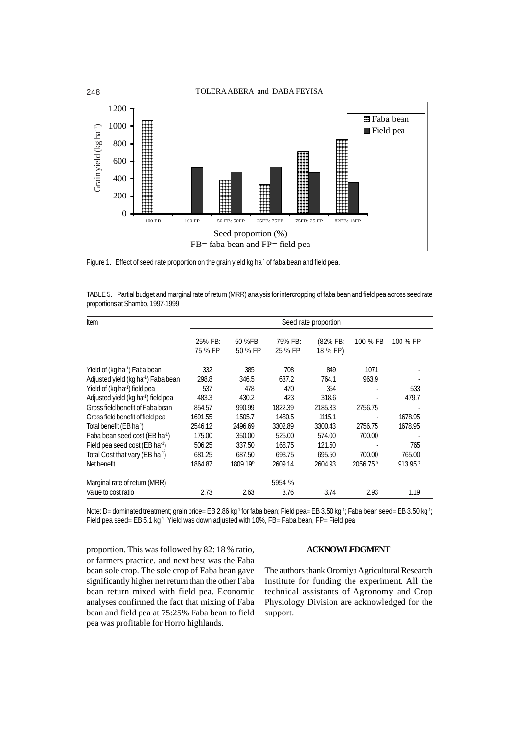

FB= faba bean and FP= field pea

Figure 1. Effect of seed rate proportion on the grain yield kg ha<sup>-1</sup> of faba bean and field pea.

TABLE 5. Partial budget and marginal rate of return (MRR) analysis for intercropping of faba bean and field pea across seed rate proportions at Shambo, 1997-1999

| Item                                            | Seed rate proportion |                      |                    |                      |                      |                     |  |
|-------------------------------------------------|----------------------|----------------------|--------------------|----------------------|----------------------|---------------------|--|
|                                                 | 25% FB:<br>75 % FP   | 50 %FB:<br>50 % FP   | 75% FB:<br>25 % FP | (82% FB:<br>18 % FP) | 100 % FB             | 100 % FP            |  |
| Yield of (kg ha <sup>-1</sup> ) Faba bean       | 332                  | 385                  | 708                | 849                  | 1071                 |                     |  |
| Adjusted yield (kg ha <sup>-1</sup> ) Faba bean | 298.8                | 346.5                | 637.2              | 764.1                | 963.9                |                     |  |
| Yield of (kg ha-1) field pea                    | 537                  | 478                  | 470                | 354                  |                      | 533                 |  |
| Adjusted yield (kg ha <sup>-1</sup> ) field pea | 483.3                | 430.2                | 423                | 318.6                |                      | 479.7               |  |
| Gross field benefit of Faba bean                | 854.57               | 990.99               | 1822.39            | 2185.33              | 2756.75              |                     |  |
| Gross field benefit of field pea                | 1691.55              | 1505.7               | 1480.5             | 1115.1               |                      | 1678.95             |  |
| Total benefit (EB ha <sup>-1</sup> )            | 2546.12              | 2496.69              | 3302.89            | 3300.43              | 2756.75              | 1678.95             |  |
| Faba bean seed cost (EB ha <sup>-1</sup> )      | 175.00               | 350.00               | 525.00             | 574.00               | 700.00               |                     |  |
| Field pea seed cost (EB ha <sup>-1</sup> )      | 506.25               | 337.50               | 168.75             | 121.50               |                      | 765                 |  |
| Total Cost that vary (EB ha-1)                  | 681.25               | 687.50               | 693.75             | 695.50               | 700.00               | 765.00              |  |
| Net benefit                                     | 1864.87              | 1809.19 <sup>D</sup> | 2609.14            | 2604.93              | 2056.75 <sup>p</sup> | 913.95 <sup>D</sup> |  |
| Marginal rate of return (MRR)                   |                      |                      | 5954 %             |                      |                      |                     |  |
| Value to cost ratio                             | 2.73                 | 2.63                 | 3.76               | 3.74                 | 2.93                 | 1.19                |  |

Note: D= dominated treatment; grain price= EB 2.86 kg<sup>-1</sup> for faba bean; Field pea= EB 3.50 kg<sup>-1</sup>; Faba bean seed= EB 3.50 kg<sup>-1</sup>; Field pea seed= EB 5.1 kg<sup>-1</sup>, Yield was down adjusted with 10%, FB= Faba bean, FP= Field pea

proportion. This was followed by 82: 18 % ratio, or farmers practice, and next best was the Faba bean sole crop. The sole crop of Faba bean gave significantly higher net return than the other Faba bean return mixed with field pea. Economic analyses confirmed the fact that mixing of Faba bean and field pea at 75:25% Faba bean to field pea was profitable for Horro highlands.

# **ACKNOWLEDGMENT**

The authors thank Oromiya Agricultural Research Institute for funding the experiment. All the technical assistants of Agronomy and Crop Physiology Division are acknowledged for the support.